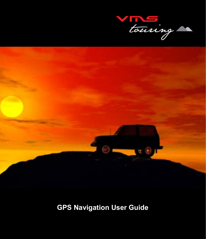



# **GPS Navigation User Guide**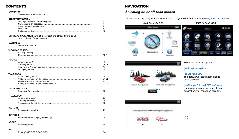### CONTENTS

| <b>NAVIGATION</b> |                                                                   |           |
|-------------------|-------------------------------------------------------------------|-----------|
|                   |                                                                   | 3         |
|                   |                                                                   |           |
|                   | <b>STREET NAVIGATION</b>                                          |           |
|                   |                                                                   | 4         |
|                   |                                                                   | 4         |
|                   |                                                                   | 7         |
|                   |                                                                   | 8         |
|                   |                                                                   | 10        |
|                   | OFF-ROAD NAVIGATION (Available to street and off-road units only) |           |
|                   |                                                                   | 11        |
|                   |                                                                   |           |
| <b>MAIN MENU</b>  |                                                                   |           |
|                   |                                                                   | 12        |
|                   |                                                                   |           |
|                   | <b>VIEW MAP SCREEN</b>                                            |           |
|                   |                                                                   | 13        |
|                   |                                                                   | $13 - 14$ |
|                   |                                                                   |           |
| <b>ROUTES</b>     |                                                                   |           |
|                   |                                                                   | 15        |
|                   |                                                                   | 15-16     |
|                   |                                                                   | 17        |
|                   |                                                                   | 19        |
| <b>WAYPOINTS</b>  |                                                                   |           |
|                   |                                                                   | 20        |
|                   |                                                                   | $21 - 22$ |
|                   |                                                                   | 22        |
|                   |                                                                   | 23-24     |
|                   |                                                                   |           |
|                   | <b>SEARCHING MAPS</b>                                             |           |
|                   |                                                                   | 25        |
|                   |                                                                   |           |
| <b>TRACKLOGS</b>  |                                                                   |           |
|                   |                                                                   | 26        |
|                   |                                                                   | 26-27     |
|                   |                                                                   | 28        |
|                   |                                                                   |           |
| <b>MAP LIST</b>   |                                                                   | 29        |
|                   |                                                                   |           |
| <b>SETTINGS</b>   |                                                                   |           |
|                   |                                                                   | 30        |
|                   |                                                                   |           |
| <b>ABOUT</b>      |                                                                   |           |
|                   |                                                                   | 30        |
|                   |                                                                   |           |
| EXIT              |                                                                   |           |
|                   |                                                                   | 30        |
|                   |                                                                   |           |

### **NAVIGATION**

### *Selecting on or off-road modes*

To start any of the navigation applications, turn on your GPS and select the **navigation or GPS icon**.







Select the following options

### **(a) Street navigation**

#### **(b) Off-road GPS**

The default Off Road application is VMS Off Road.

# **(c) Change Off road GPS software.**

If you wish to select another Off Road application, you can do so here **(d)**. **<sup>c</sup>**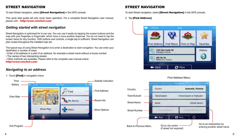# STREET NAVIGATION

To start Street navigation, select **[Street Navigation]** in the GPS console.

This quick start guide will only cover basic operation. For a complete Street Navigation user manual, please visit: http://www.vms4x4.com/

### *Getting started with street navigation*

Street Navigation is optimised for in-car use. You can use it easily by tapping the screen buttons and the map with your fingertips or fingernails, which have a more positive response. You do not need to tap the screen twice for any function. With buttons and controls, a single tap is sufficient. Street Navigation can plan routes throughout the installed map set.

The typical way of using Street Navigation is to enter a destination to start navigation. You can enter your destination a number of ways:

- Enter a full address or a part of an address, for example a street name without a house number
- The names of two intersecting streets.
- Other methods are available. Please refer to the complete user manual online: http://www.vms4x4.com/

### *Navigating to an address*

#### 1: Touch [Find] in navigation menu



## STREET NAVIGATION

To start Street navigation, select **[Street Navigation]** in the GPS console.

#### 2. Tap [Find Address]



#### Find Address Menu:

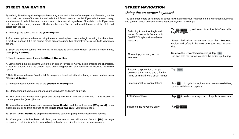### STREET NAVIGATION STREET NAVIGATION

By default, Street Navigation displays the country, state and suburb of where you are. If needed, tap the button with the name of the country, and select a different one from the list. If you select a new country, you also need to select the state, or tap to search for a suburb regardless of the state it is in. If you have not changed the country, you can still change the state. Tap the button with the name of the state and select from the list.

3. To change the suburb tap on the [Suburb] field.

4. Start entering the suburb name using the on screen keyboard. As you begin entering the characters, a result will appear, if it is the correct result, press the green tick, alternatively click results to view more options.

5. Select the desired suburb from the list. To navigate to this suburb without entering a street name, press [City Centre]

6. To enter a street name, tap on the [Street Name] field.

7. Start entering the street name using the on screen keyboard. As you begin entering the characters, a result will appear, if it is the correct result, press the green tick, alternatively click results to view more options.

8. Select the desired street from the list. To navigate to this street without entering a House number, press [Street Midpoint]

9. To enter a house number, tap on the **[House Number]** field.

10. Start entering the house number using the keyboard and press [DONE].

11. The destination screen will appear and display the found location on the map. If this location is correct, press the **[Next]** button.

12. You will now have the option to create a **[New Route]**, add this address as a **[Waypoint]** on an existing route, or add this address as the **[Final Destination]** of your current route.

13. Select **[New Route]** to begin a new route and start navigating to your designated address.

14. Once your route has been calculated, an overview screen will appear. Select **[Go]** to begin navigating. If nothing is selected you will automatically be re-directed to your navigation screen.

### *Using the on-screen keyboard*

You can enter letters or numbers in Street Navigation with your fingertips on the full-screen keyboards and you can switch between various keyboard layouts, for example

| Switching to another keyboard<br>layout, for example from a Latin<br>QWERTY keyboard to a Greek<br>keyboard | , and select from the list of available<br>Тар III<br><b>Birth</b><br>keyboard types.<br>Street Navigation remembers your last keyboard<br>choice and offers it the next time you need to enter<br>data. |
|-------------------------------------------------------------------------------------------------------------|----------------------------------------------------------------------------------------------------------------------------------------------------------------------------------------------------------|
| Correcting your entry on the<br>keyboard                                                                    | Remove the unwanted character(s): tap $\blacksquare$<br>Tap and hold the button to delete the entire input string.                                                                                       |
| Entering a space, for example<br>between a first name and a family<br>name or in multi-word street names    | Tap                                                                                                                                                                                                      |
| Entering small or capital letters                                                                           | to cycle through entering lower case letters,<br>Tap<br>capital initials or all capitals.                                                                                                                |
| Entering symbols                                                                                            | to switch to a keyboard of symbol characters.<br>Tap                                                                                                                                                     |
| Finalising the keyboard entry                                                                               | Тар∎∎Л<br><b>Toms</b>                                                                                                                                                                                    |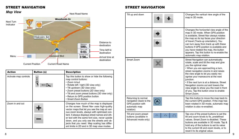# STREET NAVIGATION



| <b>Action</b>         | <b>Button (s)</b> | <b>Description</b>                                                                                                                                                                                                                                                                                                                                                                                                                     |
|-----------------------|-------------------|----------------------------------------------------------------------------------------------------------------------------------------------------------------------------------------------------------------------------------------------------------------------------------------------------------------------------------------------------------------------------------------------------------------------------------------|
| Activate map controls |                   | Tap this button to show or hide the following<br>map control buttons:<br>• Zoom in/out<br>• Rotate left / right (3D view only)<br>• Tilt up/down (3D view only)<br>• Zoom preset buttons (2D view only)<br>• Tilt and zoom preset buttons (3D view only)<br>• Return to GPS position button<br>• Smart Zoom Button                                                                                                                     |
| Zoom in and out       |                   | Changes how much of the map is displayed<br>on the screen. Street Nav uses high-quality<br>vector maps that let you see the map at vari-<br>ous zoom levels, always with optimised con-<br>tent. It always displays street names and oth-<br>er text with the same font size, never upside<br>down, and you only see the streets and ob-<br>jects that you need. Map scaling has differ-<br>ent limits in 2D and in 3D map view modes. |

### STREET NAVIGATION

| <i>wap</i> vicw<br>Next Turn<br>Indicator | <b>Woodlands Dr</b>                           | <b>Next Road Name</b>                                                                                                                                                                                                                                                                      | Tilt up and down                                                                                  |          | Changes the vertical view angle of the<br>map in 3D mode.                                                                                                                                                                                                                                                                                                                                                          |
|-------------------------------------------|-----------------------------------------------|--------------------------------------------------------------------------------------------------------------------------------------------------------------------------------------------------------------------------------------------------------------------------------------------|---------------------------------------------------------------------------------------------------|----------|--------------------------------------------------------------------------------------------------------------------------------------------------------------------------------------------------------------------------------------------------------------------------------------------------------------------------------------------------------------------------------------------------------------------|
| ⊨<br>Menu                                 | Malcolm Rd<br><b>Islewood Blvd</b>            | Distance to<br><b>Distance</b><br>destination<br>$500 -$<br>Time Left<br>Time lieft to<br>0:01<br>destination<br>Arrval Time<br>$2:58-$<br>Arrival time at                                                                                                                                 |                                                                                                   |          | Changes the horizontal view angle of the<br>map in 3D mode. When GPS position<br>is available, Street Nav always rotates<br>the map so its top faces your direction<br>of travel (Track-up orientation). You<br>can turn away from track up with these<br>buttons if GPS position is available and<br>you have rotated the map, the button<br>appears. Tap this button to re-enable the<br>automatic map rotation. |
| <b>Current Position</b><br><b>Action</b>  | <b>Current Road Name</b><br><b>Button (s)</b> | destination<br><b>Description</b>                                                                                                                                                                                                                                                          | Smart Zoom                                                                                        | Ŧ.       | Street Navigation can automatically<br>rotate, scale and tilt the map and give<br>you the optimal view:<br>• When you are approaching a turn,<br>street navigation zooms in and raises                                                                                                                                                                                                                             |
| Activate map controls                     |                                               | Tap this button to show or hide the following<br>map control buttons:<br>· Zoom in/out<br>• Rotate left / right (3D view only)<br>• Tilt up/down (3D view only)<br>• Zoom preset buttons (2D view only)<br>• Tilt and zoom preset buttons (3D view only)                                   |                                                                                                   |          | the view angle to let you easily rec-<br>ognise your manoeuvre at the next<br>junction.<br>• If the next turn is at a distance, Street<br>Navgation zooms out and lowers the<br>view angle to show you the road in front<br>of you. Tap this button once to enable<br>Smart Zoom.                                                                                                                                  |
| Zoom in and out                           | $\mathbf{A}$                                  | • Return to GPS position button<br>· Smart Zoom Button<br>Changes how much of the map is displayed<br>on the screen. Street Nav uses high-quality<br>vector maps that let you see the map at vari-                                                                                         | Returning to normal<br>navigation (back to the<br>GPS position with<br>automatic map<br>rotation) |          | Tap this button to move the map back to<br>the current GPS position. If the map has<br>been rotated in 3D mode, automatic map<br>rotation is also re-enabled.                                                                                                                                                                                                                                                      |
| 8                                         |                                               | ous zoom levels, always with optimised con-<br>tent. It always displays street names and oth-<br>er text with the same font size, never upside<br>down, and you only see the streets and ob-<br>jects that you need. Map scaling has differ-<br>ent limits in 2D and in 3D map view modes. | Tilt and zoom preset<br>buttons (available in<br>Advanced mode only)                              | z.<br>z. | Tap one of the preset buttons to set the<br>tilt and zoom levels to fix, predefined<br>values. Smart Zoom is disabled. These<br>buttons are available in 3D mode. Tap &<br>hold any of the buttons to set its value<br>to the current tilt and zoom levels, or to<br>reset it to its original value.                                                                                                               |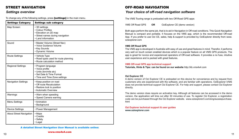## STREET NAVIGATION

### *Settings overview*

To change any of the following settings, press **[settings]** in the main menu.

| <b>Settings Category</b>       | <b>Settings sub category</b>                                                                                                |
|--------------------------------|-----------------------------------------------------------------------------------------------------------------------------|
| Map Screen:                    | • 3D settings<br>• Colour Profiles<br>• Elevation on 2D map<br>· Street names during navigation<br>• Land information       |
| Sound                          | • Master Volume (Street Nav)<br>• Voice Guidance Volume<br>• Key Sounds<br>• Dynamic Volume                                 |
| <b>Route Settings</b>          | • Vehicle Type<br>• Road types used for route planning<br>• Route calculation method                                        |
| <b>Regional Settings</b>       | • Program language<br>• Voice profile<br>• Units (km/mile etc)<br>· Set Date & Time Format<br>• Time and Time Zone settings |
| <b>Navigation Settings</b>     | • Keep position on road<br>• Off route Recalculation<br>• Restore lock to position<br>• Automatic Overview                  |
| Warnings                       | • Warn when speeding<br>· Speed Camera warning                                                                              |
| Menu Settings                  | • Animation<br>• Background                                                                                                 |
| <b>Device Settings</b>         | • Power Management                                                                                                          |
| <b>About Street Navigation</b> | • Maps<br>• Credits<br>· Safety<br>• Legal                                                                                  |

OFF-ROAD NAVIGATION

### *Your choice of off-road navigation software*

The VMS Touring range is preloaded with two Off-Road GPS apps

VMS Off Road GPS **OR** OziExplorer CE (demo version)

Both apps perform the same job, that is to aid in Navigation in Off-road conditions. This Quick Navigation Manual is compact and portable. It focuses on the VMS app, which is the recommended Off-road App. If you prefer to use Ozi CE, sales, help & support is provided by OziExplorer directly from www. oziexplorer.com

#### **VMS Off Road GPS**

The VMS app is developed in Australia with easy of use and great features in mind. Therefor, it performs very well on touch screen enabled devices which is a popular feature on all VMS GPS products. The app is great for novice and experienced operators of Off-road software. It provides a no fuss, intuitive user experience and is packed with great features.

#### **VMS Off-road GPS app technical support**

**Tutorials, Hints & Tips: can be found on our website** http://kb.vms4x4.com

#### **Ozi Explorer CE**

A demo version of Ozi Explorer CE is preloaded on this device for convenience and by request from customers who are experienced with the software, and are familiar with operations. OziExplorer iVMS does not provide technical support Ozi Explorer CE. For help and support, please contact Ozi Explorer directly.

The demo version does require an activation key. Although all features can be accessed in the demo version, the application will time out after 30 minuntes of use. To register Ozi Explorer, a registration code can be purchased through the Ozi Explorer website. www.oziexplorer3.com/eng/aussiepurchase. html

**Ozi Explorer technical support & user guides www.oziexplorer.com**

A detailed Street Navigation User Manual is available online: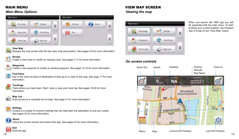# MAIN MENU

### *Main Menu Options*



### **View Map**

Displays the map screen with the last open map and position. See pages 5-6 for more information.

### **Routes**

Create a new route or modify an existing route. See pages 7-11 for more information.

### **Waypoints**

Create a new waypoint or modify an existing waypoint. See pages 12-16 for more information.

### **Find Place**

Key in the name of place or destination to then go to or view on the map. See page 17 for more information.

### **Tracklogs**

Track where you have been. Start / stop or view your track log. See pages 18-20 for more information.

# **Map List**

Easy access to a complete list of maps. See page 21 for more information.

### **Settings**

Access to a variety of common settings that can help tailor the application to suit your needs. See pages 22 for more information.

# **About**

Check the current version and build of the app. See pages 23 for more information.



### VIEW MAP SCREEN *Viewing the map*



*On screen controls*



When you launch the VMS app you will be presented with the main menu. To start tracking your current position, the simplest way is to tap on the "View Map" button.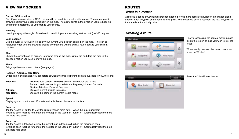# VIEW MAP SCREEN

#### **Current GPS position**

Only if you have acquired a GPS position will you see this current position arrow. The current position arrow pinpoints your location precisely on the map. The arrow points in the direction you are heading and rotates accordingly as you change your course.

#### **Heading**

Heading displays the angle of the direction in which you are travelling. 0 (true north) to 360 degrees.

#### **Lock position**

Use the "Lock GPS" button to display your current GPS position centred on the map. This can be helpful for when you are browsing around any map and wish to quickly revert back to your current position.

#### **Map**

Shows the current map on screen. To browse around the map, simply tap and drag the map in the desired direction you wish to move the map.

#### **Menu**

Brings up the main menu options (see page 4)

#### **Position / Altitude / Map Name**

By tapping in this location you can rotate between the three different displays available to you, they are:

| <b>Position:</b> | Displays your current / live GPS position in a coordinate format.     |
|------------------|-----------------------------------------------------------------------|
|                  | Formats available are: longitude latitude: Degrees, Minutes, Seconds. |
|                  | Decimal Minutes, Decimal Degrees.                                     |
| Altitude:        | Displays current altitude in metres.                                  |
| Map Name:        | Displays the name of the current visible maps.                        |

#### **Speed**

Displays your current speed. Formats available: Metric, Imperial or Nautical.

#### **Zoom in**

Tap the "Zoom in" button to view the current map in more detail. When the maximum zoom level has been reached for a map, the next tap of the "Zoom In" button will automatically load the next available map scale.

#### **Zoom out**

Tap the "Zoom out" button to view the current map in less detail. When the maximum zoom level has been reached for a map, the next tap of the "Zoom In" button will automatically load the next available map scale.

# ROUTES

### *What is a route?*

A route is a series of waypoints linked together to provide more accurate navigation information along a route. Each waypoint on the route is a via point. When each via point is reached, the next waypoint in the route is automatically called.

### *Creating a route*



Prior to accessing the routes menu, please locate the region or map you wish to plot the route.

When ready, access the main menu and press on "Routes"

#### Press the "New Route" button

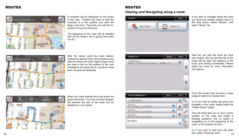# ROUTES



A crosshair will be displayed on the centre of the map. Position the map so that the crosshair is in the position you wish the begin route from. Press the icon with the A+ symbol to drop the first point.

The beginning of the route will be labelled with an (A) marker. (As in going from point A to B.)



After the starter point has been placed, continue to add as many more points as you desire to draw your route. Again simply move the map to line up the position of the next checkpoint and press the A+ symbol to drop each via point as illustrated.



When you have finished the route press the green tick button. Your last via point dropped will become the end of the route and be labelled by a (b) marker.



you have just created, please return to the main menu, select "Routes", and select "Route" list.

If you plan to navigate along the route



*Viewing and Navigating along a route*

New Route

Barne

Route list

ROUTES

**Rivides** 

Here we can see the route we have just created. We can see the title of the route with its date, the distance of the route, and starting coordinates. Please select the route for more information and options.

From this screen here we have a large range of options to choose from.

**(a)** If you wish to simply get going and navigate to this route, simply press the "Follow Route" button.

This will bring take you to your current position on the map and create a heading guidance line to assist in navigating you to the beginning of the route, or the nearest via point.

 $16$  and, select Nevelse Toute  $17$ **(b)** If you wish to start from the other end, select "Reverse route"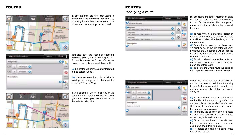# ROUTES



In this instance the first checkpoint is closer then the beginning position (A), so the guidance line has automatically locked on to whatever point is closest.

|   | <b>Viapoint information</b> |   |
|---|-----------------------------|---|
|   |                             | а |
|   | us rent O                   |   |
| ٠ |                             |   |
|   |                             |   |
|   |                             |   |
|   |                             |   |

**Windham**  $\circ$ 231 **STATISTICS**  $\mathbf{0}$ **Violety PARK WAY Warrior Gelet Reasonable** Anstralia **INcogilands Househial Ester uti** 

You also have the option of choosing which via point you wish to navigate to. To do this access the Route Information page on the route you are interested in.

**(a)** Select the via point you are interested in and select "Go to".

**(b)** You even have the option of simply viewing this via point on the map by pressing "View on Map".

If you selected "Go to" a particular via point, the map screen will display and a guidance line will point in the direction of the selected via point.

# ROUTES *Modifying a route*



By accessing the route information page of a desired route, you will have the ability to modify the routes title, via points, route description or delete the route all together

**(a)** To modify the title of a route, select on the title of the route, by default the route title will be labelled with the date, and the route number.

**(b)** To modify the position or title of each via point, select on the title of the via point, by default the via point tile will be labelled via point X, and display the longitude and latitude coordinates

**(c)** To add a description to the route tap on the description box to add your own notes about this route.

**(d)** To delete the whole route including all it's via points, press the "delete" button.

|                        |            | Viapoint Information. |    |
|------------------------|------------|-----------------------|----|
| $\circledast$          | and office |                       |    |
| (b                     |            | <b>MEXICO</b>         |    |
| Let                    |            | MOAD O                | ٠ď |
|                        |            |                       |    |
| $\widehat{\mathbf{c}}$ |            |                       |    |
|                        |            |                       |    |

When you have selected a via point of choice, it is here you will have the ability to modify the via points title, coordinates, description or simply deleting the current via point.

**(a)** To modify the title of a via point, select on the title of the via point, by default the via point title will be labelled as Via point X, x being the number order from which that via point was created.

**(b)** To modify the position of the selected via point, you can modify the coordinates of the Longitude and Latitude.

**(c)** To add a description to the via point tap on the description box to add your own notes about this via point.

**(d)** To delete this single via point, press the "delete" button.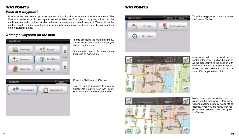# WAYPOINTS

### *What is a waypoint?*

Waypoints are used to mark points of interest such as locations or landmarks for later reference. The Waypoint can be stored in memory and loaded for later use. Examples of using waypoints could be marking a camp site, vehicle's location, a hazard or even your favourite fishing spot. Waypoints can be marked prior to or during your trip either by manually entering coordinates or simply by marking them on the navigator's map.

## *Adding a waypoint on the map*



Prior to accessing the Waypoints menu, please locate the region or map you wish to plot the route.

When ready, access the main menu and press on "Waypoints".



Press the "Add waypoint" button.

Next you will be prompted to select a method for creating your way point. Each method will be explained below.

# WAYPOINTS



To add a waypoint on the map, press the "on map" button.



ര് **CONSULT Qam** draesiyle Australia Whooflands missionial disclose **ALCOLM** Iŝ ENDEAVOUR É Wal  $20$ 

A crosshair will be displayed on the centre of the map. Position the map so as the crosshair is in the position with where you want to place your waypoint. Press the icon with the "pin and + symbol" to drop the first point.

More than one waypoint can be placed on the map while in this mode. Continue adding as many waypoints as desired. When you are happy with your placements, please press the "green tick" button.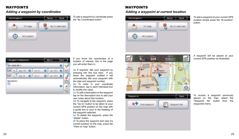# WAYPOINTS

### *Adding a waypoint by coordinates*

| in map      | By Co ordinate |
|-------------|----------------|
| At Location |                |

To add a waypoint by coordinate press the "By Coordinates button"

# WAYPOINTS

### *Adding a waypoint at current location*



To add a waypoint at your current GPS location simple press the "At location" button.

If you know the coordinates of a location of interest, this is the page you will enter them in.

- **(a)** If required, title your waypoint by pressing into this box here. If you leave the waypoint untitled it will automatically title your waypoint with the date and waypoint number.
- **(b)** To enter in your coordinate information, tap in each individual box to modify the value.
- **(c)** To add a description to the waypoint tap on the description box to add your own notes about this location.

**(d)** To navigate to the waypoint, press the "Go to" button to be taken to your current GPS position on the map with a guide line to your in the heading of the waypoint selected.

**(e)** To delete the waypoint, press the "delete" button.

**(f)** To place the waypoint and view it's current position on the map, press the "View on map" button.







To access a waypoint previously placed on the map, select the "Waypoint list" button from the waypoints menu.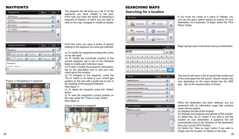### WAYPOINTS

| Waxpored first                                           | <b>Licens</b> |  |
|----------------------------------------------------------|---------------|--|
| second the all second a                                  |               |  |
| <b>CARDINAL ARRANGEMENT</b><br>Lan 1970 Inc. Lac 8761419 |               |  |
| <b>Minerican Scotl</b><br>Law 147000-2, La 201002-2      | o             |  |
| EN FORD BY<br>See : HASTER & Live BY MIST &              |               |  |
|                                                          |               |  |
|                                                          |               |  |

Waypond Information Meru Buck **a d**  $0$   $m=10$ mr.M. O mr.i. **<u></u> e** O Heckli o Aka 36 O met Description **f** the office the sale. ō **c**

#### (Figure 1) Navigating to a waypoint



The waypoint list will bring up a list of all the waypoints you have created in the past. From here you have the option of selecting a waypoint of interest, of which you are able to view on the map, navigate or modify its details.

From this menu you have a series of options relating to the waypoint you have just selected.

**(a)** To modify the waypoints existing title, press on the title itself.

**(b)** To modify the coordinate location of this current waypoint, tap in any of the individual fields to modify each individual value.

**(c)** To add or modify the waypoint's description, tap on the description box to add your own notes about this location.

**(d)** To navigate to the waypoint, press the "Go to" button to be taken to your current gps position on the map with a guide line to your in the heading of the waypoint selected.

(See figure 1)

**(e)** To delete the waypoint, press the "delete" button.

**(f)** To view the waypoint's current position on the map, press the "View on map" button. (See figure 2)

#### (Figure 2) Viewing a waypoint



### SEARCHING MAPS

### *Searching for a location*



| birds |             |                              |  |  |  |                         |  | G(81)   |          |
|-------|-------------|------------------------------|--|--|--|-------------------------|--|---------|----------|
|       |             |                              |  |  |  | 1 2 3 4 5 6 7 8 9 0     |  |         |          |
|       |             |                              |  |  |  | $a \times a + 1$        |  | $0$ $p$ |          |
|       | $a - a - d$ |                              |  |  |  | $L$ $a$ $h$ $l$ $l$ $k$ |  |         |          |
|       | 2.1.8       | $\langle \mathbf{0} \rangle$ |  |  |  | V. D. R. I. M. Lass.    |  |         | $\alpha$ |

| <b>Hyna By</b>                | Marsia |   |  |
|-------------------------------|--------|---|--|
| <b>STORIC HEARING</b>         | o      |   |  |
| <b>INDIVIAL CATIOLITICS</b> . | o      |   |  |
| EREIDA AL TENILOMENTAL ROAD.  | o      |   |  |
| <b>SPECIFILE RATH FRADE</b>   | o      |   |  |
| <b>IPOTALLI BEZZ TRADI.</b>   | o      | ō |  |
| <b>ERODILLE TRADO</b>         | ۰      |   |  |



If you know the name of a place of interest, you can use the app's search feature to search for your destination via a keyboard. To begin, select the "Find Place" button.

Begin typing in part or the whole word your destination.

The search will return a list of results that contain part of the word typed into the search. Search results may vary depending on the maps loaded into the VMS app. Tap on the required place of choice.

When the destination has been selected, you are presented with an information page that contains some various options.

**(a)** Displays the title of the location

**(b)** Displays the longitude and latitude of the location

**(c)** Select the "Go to" button if you wish to set this location as your destination. A guidance line will automatically point in the direction of the destination from your current GPS Position.

**(d)** Select the "View on map" button if you wish to simply view the location of interest on the map.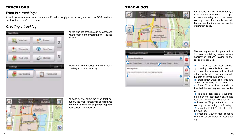# **TRACKLOGS**

# *What is a tracklog?*

A tracklog, also known as a 'bread-crumb' trail is simply a record of your previous GPS positions displayed as a "trail" on the map.

# *Creating a tracklog*



All the tracklog features can be accessed via the main menu by tapping on "Tracklog "button.

Press the "New tracklog" button to begin creating your new track log.



As soon as you select the "New tracklog" button, the map screen will be displayed and your tracklog will begin tracking from your current GPS position.

# TRACKLOGS



| racions information. |  |    |
|----------------------|--|----|
| (a)<br><b>Mark</b>   |  | e. |
|                      |  |    |
| Description:<br>ď    |  |    |

Your tracklog will be marked out by a yellow line as indicated on the map. If you wish to modify or stop the current tracklog, press the track button with the (i) symbol to bring up the Tracklog information page.

The tracklog information page will be displayed containing some various modification options relating to that tracklog file created.

**(a)** If required, title your tracklog by pressing into this box here. If you leave the tracklog untitled it will automatically title your tracklog with the date and tracklog number.

**(b)** Start Time/ Date: The Time and Date of the tracklog are recorded.

**(c)** Travel Time: A timer records the time that the tracklog has been active for.

**(d)** To add a description to the track log tap on the description box to add your own notes about this track log.

**(e)** Press the "Stop" button to stop the tracklog from recording your footsteps. **(f)** Press the "Delete" button to delete this tracklog.

**(g)** Press the "view on map" button to view the current status of your track log.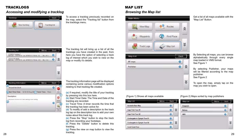# **TRACKLOGS**

# *Accessing and modifying a tracklog*



Mental Back Tracklog list 3 22041 (military )<br>Starting, collecting & Los 2010111 & Parts, Ill., Dan 20 a. ۰ Statement the laborator of Land DESDEE S. Prevent Strip, Man Avenue 슻 o. ¥ Trackford Morrishon Mess Bath **a e** Areand the block o. m. **b b b c c f** To access a tracklog previously recorded on the map, select the "Tracklog list" button from the tracklogs menu.

The tracklog list will bring up a list of all the tracklogs you have created in the past, from here you have the option of selecting a track log of interest which you wish to view on the map or modify it's details.

The tracklog information page will be displayed containing some various modification options relating to that tracklog file created.

**(a)** If required, modify the title of your tracklog by pressing into this box here.

**(b)** Start Time/ Date: The Time and Date of the tracklog are recorded.

**(c)** Travel Time: A timer records the time that the tracklog has been active for.

**g**

**HAKAR** 

 $-$ 

ø

÷.

۰

**(d)** To modify of add a description to the track log tap on the description box to add your own notes about this track log.

**(e)** Press the "Stop" button to stop the track log from recording your footsteps.

**(f)** Press the "Delete" button to delete this tracklog.

28 деном од остално производството на 1920 година од 29 деном од 29 деном од 29 деном од 29 деном од 29 деном о<br>28 деном од 29 деном од 29 деном од 29 деном од 29 деном од 29 деном од 29 деном од 29 деном од 29 деном од 2 **(g)** Press the view on map button to view the tracklog.

# MAP LIST *Browsing the Map list*





| Magitim                       | Minner    |  |
|-------------------------------|-----------|--|
| Australia Bass Map            | o         |  |
| <b>Cape Yerk Tour III</b>     | O         |  |
| Cape York Taur 58             | $\bullet$ |  |
| Coolengette to Cumple Tour Et | o         |  |
| Cookergatts to Cymple Tour 62 | 10        |  |
| <b>Ceral Coast Test</b>       | o         |  |

Get a list of all maps available with the "Map List" Button.

By Selecting all maps, you can browse alphabetically through every single map loaded in VMS format. See Figure 1

By selecting Publisher, your maps will be filtered according to the map publisher. See Figure 2

To open the map, simply tap on the map you wish to open.

#### (Figure 1) Shows all maps available (Figure 2) Maps sorted by map publishers



**d**

Detridgetown

(mak bround his stock and class presting a new casting)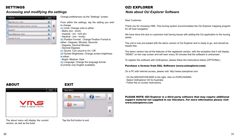# SETTINGS

## *Accessing and modifying the settings*

Change preferences via the "Settings" screen.

From within the settings, tap the setting you wish to change. **(a)** Units: Change units to either:

- Metric (km km/h)
- Imperial (mi mi/h ph)
- Nautical (nm knots)

**(b)** Position Format: Change Position Format to either:- Degrees, Minutes, Seconds

- Degrees, Decimal Minutes
- Decimal Degrees
- **(c)** Sound: Turn sound to On / Off

**(d)** Screen Brightness: Change screen brightness to either:

- Bright- Medium- Dark
- **(e)** Language: Change the language format (Currently only English available)

### OZI EXPLORER *Note about Ozi Explorer Software*

Dear Customer,

Thank you for choosing VMS. This touring system accommodates the Ozi Explorer mapping program for off road navigation.

We have done this due to customers had having issues with adding the Ozi application to the touring series.

The unit is now pre-loaded with the demo version of Ozi Explorer and is ready to go, and should be hassle free.

The demo version has all the features of the registered version, with the exception that it will display "DEMO" on the map screen and will warn every 30 minutes that the software is unlicensed.

To register this software with OziExplorer, please follow the instructions below (OPTIONAL)

#### Purchase a license from D&L Software (www.oziexplorer.com)

On a PC with internet access, please visit: http://www.oziexplorer.com

- On the NAVIGATION BAR to the right, click on PURCHASING
- Select OziExplorer CE for Australia
- Follow the on screen instructions.

# ABOUT



The about menu will display the current version, as well as the build.

### EXIT



Tap the Exit button to exit.

PLEASE NOTE: OZI Explorer is a third party software that may require additional support material not supplied in our literature. For more information please visit www.oziexplorer.com